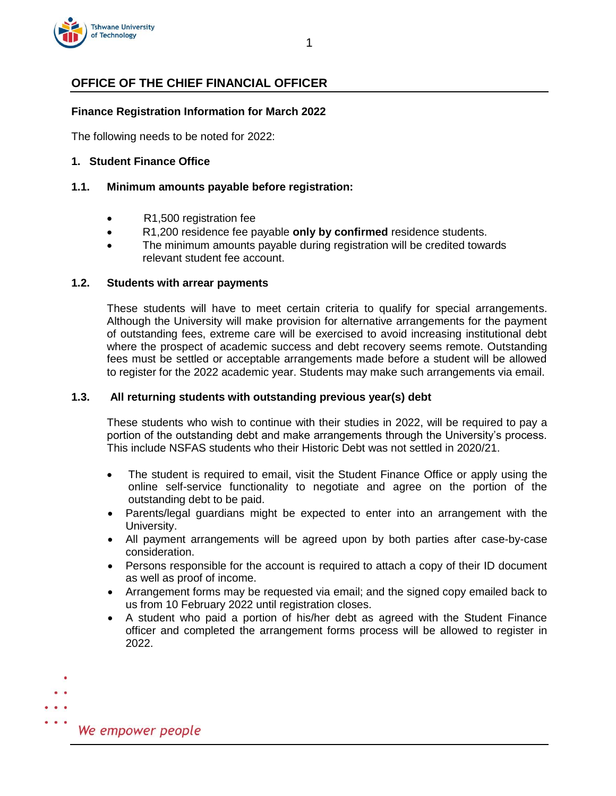

# **OFFICE OF THE CHIEF FINANCIAL OFFICER**

## **Finance Registration Information for March 2022**

The following needs to be noted for 2022:

### **1. Student Finance Office**

## **1.1. Minimum amounts payable before registration:**

- R1,500 registration fee
- R1,200 residence fee payable **only by confirmed** residence students.
- The minimum amounts payable during registration will be credited towards relevant student fee account.

#### **1.2. Students with arrear payments**

These students will have to meet certain criteria to qualify for special arrangements. Although the University will make provision for alternative arrangements for the payment of outstanding fees, extreme care will be exercised to avoid increasing institutional debt where the prospect of academic success and debt recovery seems remote. Outstanding fees must be settled or acceptable arrangements made before a student will be allowed to register for the 2022 academic year. Students may make such arrangements via email.

#### **1.3. All returning students with outstanding previous year(s) debt**

These students who wish to continue with their studies in 2022, will be required to pay a portion of the outstanding debt and make arrangements through the University's process. This include NSFAS students who their Historic Debt was not settled in 2020/21.

- The student is required to email, visit the Student Finance Office or apply using the online self-service functionality to negotiate and agree on the portion of the outstanding debt to be paid.
- Parents/legal guardians might be expected to enter into an arrangement with the University.
- All payment arrangements will be agreed upon by both parties after case-by-case consideration.
- Persons responsible for the account is required to attach a copy of their ID document as well as proof of income.
- Arrangement forms may be requested via email; and the signed copy emailed back to us from 10 February 2022 until registration closes.
- A student who paid a portion of his/her debt as agreed with the Student Finance officer and completed the arrangement forms process will be allowed to register in 2022.

 $\bullet$   $\bullet$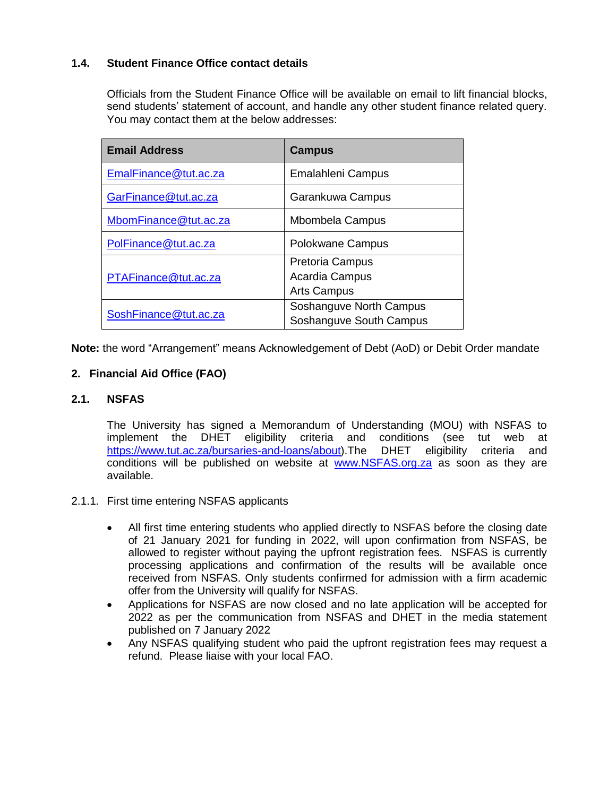## **1.4. Student Finance Office contact details**

Officials from the Student Finance Office will be available on email to lift financial blocks, send students' statement of account, and handle any other student finance related query. You may contact them at the below addresses:

| <b>Email Address</b>  | <b>Campus</b>                                                  |  |
|-----------------------|----------------------------------------------------------------|--|
| EmalFinance@tut.ac.za | <b>Emalahleni Campus</b>                                       |  |
| GarFinance@tut.ac.za  | Garankuwa Campus                                               |  |
| MbomFinance@tut.ac.za | <b>Mbombela Campus</b>                                         |  |
| PolFinance@tut.ac.za  | Polokwane Campus                                               |  |
| PTAFinance@tut.ac.za  | <b>Pretoria Campus</b><br>Acardia Campus<br><b>Arts Campus</b> |  |
| SoshFinance@tut.ac.za | Soshanguve North Campus<br>Soshanguve South Campus             |  |

**Note:** the word "Arrangement" means Acknowledgement of Debt (AoD) or Debit Order mandate

## **2. Financial Aid Office (FAO)**

## **2.1. NSFAS**

The University has signed a Memorandum of Understanding (MOU) with NSFAS to implement the DHET eligibility criteria and conditions (see tut web at [https://www.tut.ac.za/bursaries-and-loans/about\)](https://www.tut.ac.za/bursaries-and-loans/about).The DHET eligibility criteria and conditions will be published on website at [www.NSFAS.org.za](http://www.nsfas.org.za/) as soon as they are available.

## 2.1.1. First time entering NSFAS applicants

- All first time entering students who applied directly to NSFAS before the closing date of 21 January 2021 for funding in 2022, will upon confirmation from NSFAS, be allowed to register without paying the upfront registration fees. NSFAS is currently processing applications and confirmation of the results will be available once received from NSFAS. Only students confirmed for admission with a firm academic offer from the University will qualify for NSFAS.
- Applications for NSFAS are now closed and no late application will be accepted for 2022 as per the communication from NSFAS and DHET in the media statement published on 7 January 2022
- Any NSFAS qualifying student who paid the upfront registration fees may request a refund. Please liaise with your local FAO.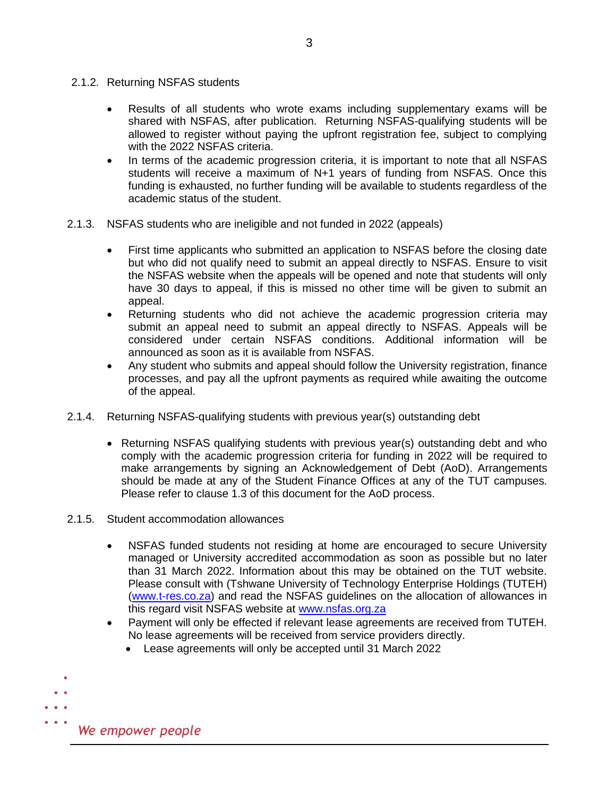- 2.1.2. Returning NSFAS students
	- Results of all students who wrote exams including supplementary exams will be shared with NSFAS, after publication. Returning NSFAS-qualifying students will be allowed to register without paying the upfront registration fee, subject to complying with the 2022 NSFAS criteria.
	- In terms of the academic progression criteria, it is important to note that all NSFAS students will receive a maximum of N+1 years of funding from NSFAS. Once this funding is exhausted, no further funding will be available to students regardless of the academic status of the student.
- 2.1.3. NSFAS students who are ineligible and not funded in 2022 (appeals)
	- First time applicants who submitted an application to NSFAS before the closing date but who did not qualify need to submit an appeal directly to NSFAS. Ensure to visit the NSFAS website when the appeals will be opened and note that students will only have 30 days to appeal, if this is missed no other time will be given to submit an appeal.
	- Returning students who did not achieve the academic progression criteria may submit an appeal need to submit an appeal directly to NSFAS. Appeals will be considered under certain NSFAS conditions. Additional information will be announced as soon as it is available from NSFAS.
	- Any student who submits and appeal should follow the University registration, finance processes, and pay all the upfront payments as required while awaiting the outcome of the appeal.
- 2.1.4. Returning NSFAS-qualifying students with previous year(s) outstanding debt
	- Returning NSFAS qualifying students with previous year(s) outstanding debt and who comply with the academic progression criteria for funding in 2022 will be required to make arrangements by signing an Acknowledgement of Debt (AoD). Arrangements should be made at any of the Student Finance Offices at any of the TUT campuses. Please refer to clause 1.3 of this document for the AoD process.
- 2.1.5. Student accommodation allowances
	- NSFAS funded students not residing at home are encouraged to secure University managed or University accredited accommodation as soon as possible but no later than 31 March 2022. Information about this may be obtained on the TUT website. Please consult with (Tshwane University of Technology Enterprise Holdings (TUTEH) [\(www.t-res.co.za\)](http://www.t-res.co.za/) and read the NSFAS guidelines on the allocation of allowances in this regard visit NSFAS website at www.nsfas.org.za
	- Payment will only be effected if relevant lease agreements are received from TUTEH. No lease agreements will be received from service providers directly.
		- Lease agreements will only be accepted until 31 March 2022

 $\bullet$   $\bullet$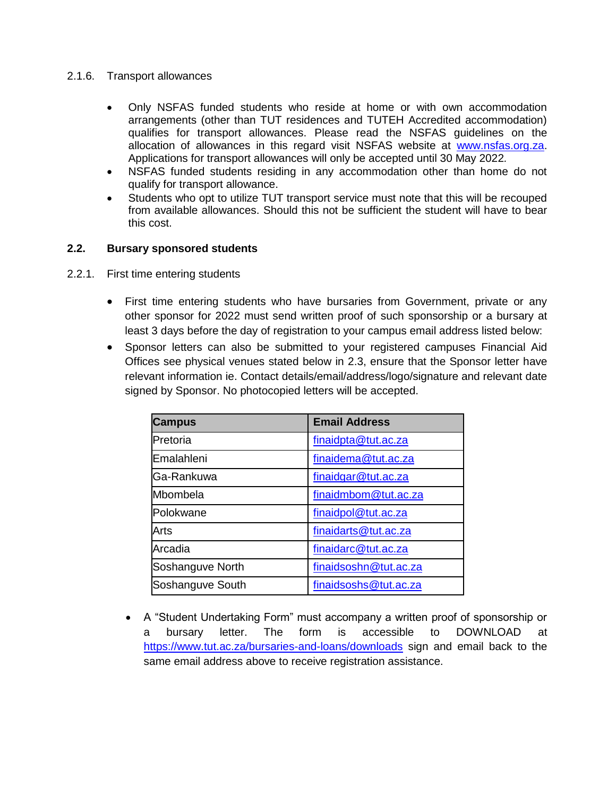## 2.1.6. Transport allowances

- Only NSFAS funded students who reside at home or with own accommodation arrangements (other than TUT residences and TUTEH Accredited accommodation) qualifies for transport allowances. Please read the NSFAS guidelines on the allocation of allowances in this regard visit NSFAS website at [www.nsfas.org.za.](http://www.nsfas.org.za/) Applications for transport allowances will only be accepted until 30 May 2022*.*
- NSFAS funded students residing in any accommodation other than home do not qualify for transport allowance.
- Students who opt to utilize TUT transport service must note that this will be recouped from available allowances. Should this not be sufficient the student will have to bear this cost.

## **2.2. Bursary sponsored students**

- 2.2.1. First time entering students
	- First time entering students who have bursaries from Government, private or any other sponsor for 2022 must send written proof of such sponsorship or a bursary at least 3 days before the day of registration to your campus email address listed below:
	- Sponsor letters can also be submitted to your registered campuses Financial Aid Offices see physical venues stated below in 2.3, ensure that the Sponsor letter have relevant information ie. Contact details/email/address/logo/signature and relevant date signed by Sponsor. No photocopied letters will be accepted.

| <b>Campus</b>    | <b>Email Address</b>  |  |
|------------------|-----------------------|--|
| Pretoria         | finaidpta@tut.ac.za   |  |
| Emalahleni       | finaidema@tut.ac.za   |  |
| Ga-Rankuwa       | finaidgar@tut.ac.za   |  |
| Mbombela         | finaidmbom@tut.ac.za  |  |
| Polokwane        | finaidpol@tut.ac.za   |  |
| Arts             | finaidarts@tut.ac.za  |  |
| Arcadia          | finaidarc@tut.ac.za   |  |
| Soshanguve North | finaidsoshn@tut.ac.za |  |
| Soshanguve South | finaidsoshs@tut.ac.za |  |

 A "Student Undertaking Form" must accompany a written proof of sponsorship or a bursary letter. The form is accessible to DOWNLOAD at <https://www.tut.ac.za/bursaries-and-loans/downloads> sign and email back to the same email address above to receive registration assistance.